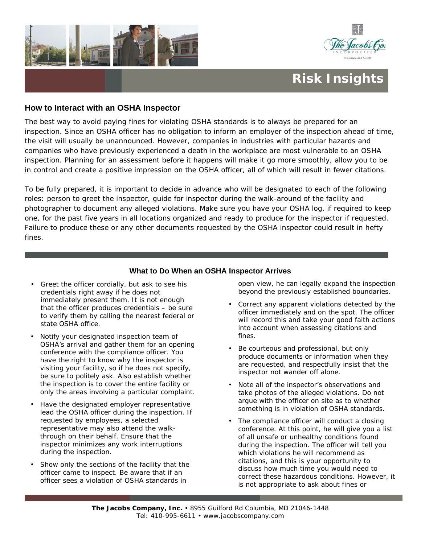



## **Risk Insights**

## **How to Interact with an OSHA Inspector**

The best way to avoid paying fines for violating OSHA standards is to always be prepared for an inspection. Since an OSHA officer has no obligation to inform an employer of the inspection ahead of time, the visit will usually be unannounced. However, companies in industries with particular hazards and companies who have previously experienced a death in the workplace are most vulnerable to an OSHA inspection. Planning for an assessment before it happens will make it go more smoothly, allow you to be in control and create a positive impression on the OSHA officer, all of which will result in fewer citations.

To be fully prepared, it is important to decide in advance who will be designated to each of the following roles: person to greet the inspector, guide for inspector during the walk-around of the facility and photographer to document any alleged violations. Make sure you have your OSHA log, if required to keep one, for the past five years in all locations organized and ready to produce for the inspector if requested. Failure to produce these or any other documents requested by the OSHA inspector could result in hefty fines.

## **What to Do When an OSHA Inspector Arrives**

- Greet the officer cordially, but ask to see his credentials right away if he does not immediately present them. It is not enough that the officer produces credentials – be sure to verify them by calling the nearest federal or state OSHA office.
- Notify your designated inspection team of OSHA's arrival and gather them for an opening conference with the compliance officer. You have the right to know why the inspector is visiting your facility, so if he does not specify, be sure to politely ask. Also establish whether the inspection is to cover the entire facility or only the areas involving a particular complaint.
- Have the designated employer representative lead the OSHA officer during the inspection. If requested by employees, a selected representative may also attend the walkthrough on their behalf. Ensure that the inspector minimizes any work interruptions during the inspection.
- Show only the sections of the facility that the officer came to inspect. Be aware that if an officer sees a violation of OSHA standards in

open view, he can legally expand the inspection beyond the previously established boundaries.

- Correct any apparent violations detected by the officer *immediately* and *on the spot*. The officer will record this and take your good faith actions into account when assessing citations and fines.
- Be courteous and professional, but only produce documents or information when they are requested, and respectfully insist that the inspector not wander off alone.
- Note all of the inspector's observations and take photos of the alleged violations. Do not argue with the officer on site as to whether something is in violation of OSHA standards.
- The compliance officer will conduct a closing conference. At this point, he will give you a list of all unsafe or unhealthy conditions found during the inspection. The officer will tell you which violations he will recommend as citations, and this is your opportunity to discuss how much time you would need to correct these hazardous conditions. However, it is not appropriate to ask about fines or